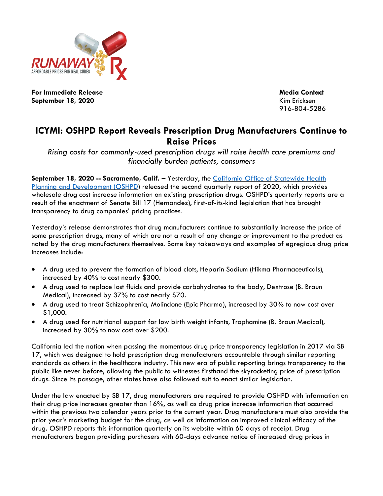

**For Immediate Release Media Contact September 18, 2020** Kim Ericksen

916-804-5286

## **ICYMI: OSHPD Report Reveals Prescription Drug Manufacturers Continue to Raise Prices**

*Rising costs for commonly-used prescription drugs will raise health care premiums and financially burden patients, consumers*

**September 18, 2020 -- Sacramento, Calif. –** Yesterday, the [California Office of Statewide Health](https://oshpd.ca.gov/visualizations/prescription-drug-wholesale-acquisition-cost-increases/?utm_campaign=wac2019full&utm_source=MailChimp&utm_medium=email&utm_content=text)  [Planning and Development \(OSHPD\)](https://oshpd.ca.gov/visualizations/prescription-drug-wholesale-acquisition-cost-increases/?utm_campaign=wac2019full&utm_source=MailChimp&utm_medium=email&utm_content=text) released the second quarterly report of 2020, which provides wholesale drug cost increase information on existing prescription drugs. OSHPD's quarterly reports are a result of the enactment of Senate Bill 17 (Hernandez), first-of-its-kind legislation that has brought transparency to drug companies' pricing practices.

Yesterday's release demonstrates that drug manufacturers continue to substantially increase the price of some prescription drugs, many of which are not a result of any change or improvement to the product as noted by the drug manufacturers themselves. Some key takeaways and examples of egregious drug price increases include:

- A drug used to prevent the formation of blood clots, Heparin Sodium (Hikma Pharmaceuticals), increased by 40% to cost nearly \$300.
- A drug used to replace lost fluids and provide carbohydrates to the body, Dextrose (B. Braun Medical), increased by 37% to cost nearly \$70.
- A drug used to treat Schizophrenia, Molindone (Epic Pharma), increased by 30% to now cost over \$1,000.
- A drug used for nutritional support for low birth weight infants, Trophamine (B. Braun Medical), increased by 30% to now cost over \$200.

California led the nation when passing the momentous drug price transparency legislation in 2017 via SB 17, which was designed to hold prescription drug manufacturers accountable through similar reporting standards as others in the healthcare industry. This new era of public reporting brings transparency to the public like never before, allowing the public to witnesses firsthand the skyrocketing price of prescription drugs. Since its passage, other states have also followed suit to enact similar legislation.

Under the law enacted by SB 17, drug manufacturers are required to provide OSHPD with information on their drug price increases greater than 16%, as well as drug price increase information that occurred within the previous two calendar years prior to the current year. Drug manufacturers must also provide the prior year's marketing budget for the drug, as well as information on improved clinical efficacy of the drug. OSHPD reports this information quarterly on its website within 60 days of receipt. Drug manufacturers began providing purchasers with 60-days advance notice of increased drug prices in